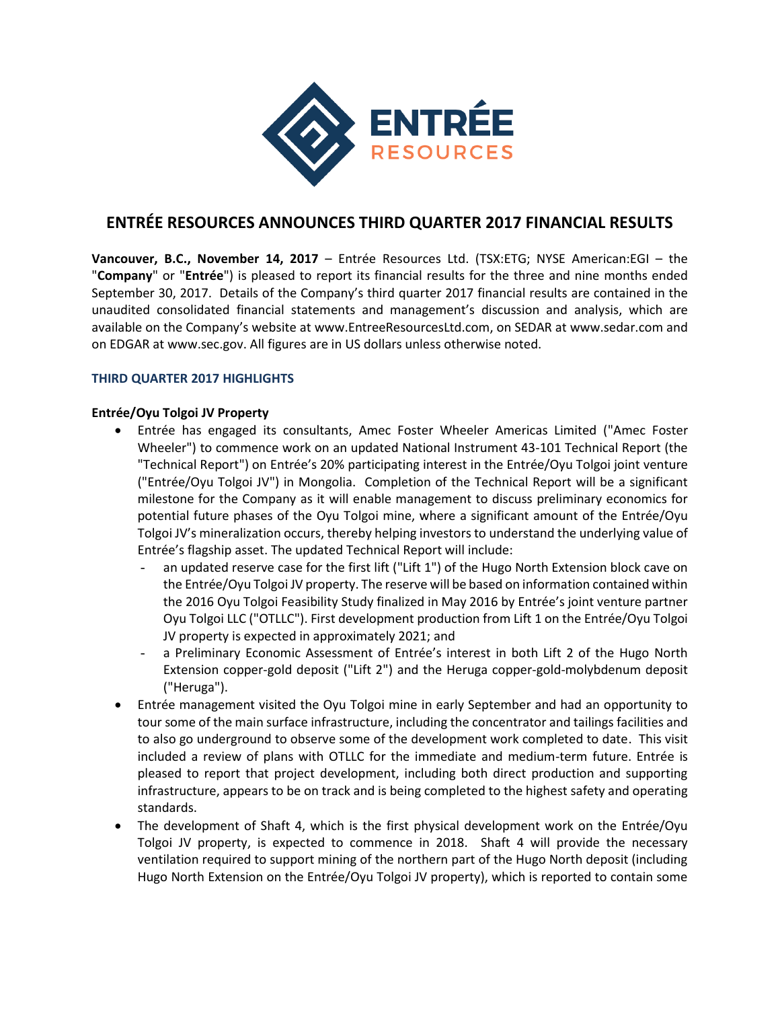

# **ENTRÉE RESOURCES ANNOUNCES THIRD QUARTER 2017 FINANCIAL RESULTS**

**Vancouver, B.C., November 14, 2017** – Entrée Resources Ltd. (TSX:ETG; NYSE American:EGI – the "**Company**" or "**Entrée**") is pleased to report its financial results for the three and nine months ended September 30, 2017. Details of the Company's third quarter 2017 financial results are contained in the unaudited consolidated financial statements and management's discussion and analysis, which are available on the Company's website at www.EntreeResourcesLtd.com, on SEDAR at www.sedar.com and on EDGAR at www.sec.gov. All figures are in US dollars unless otherwise noted.

# **THIRD QUARTER 2017 HIGHLIGHTS**

# **Entrée/Oyu Tolgoi JV Property**

- Entrée has engaged its consultants, Amec Foster Wheeler Americas Limited ("Amec Foster Wheeler") to commence work on an updated National Instrument 43-101 Technical Report (the "Technical Report") on Entrée's 20% participating interest in the Entrée/Oyu Tolgoi joint venture ("Entrée/Oyu Tolgoi JV") in Mongolia. Completion of the Technical Report will be a significant milestone for the Company as it will enable management to discuss preliminary economics for potential future phases of the Oyu Tolgoi mine, where a significant amount of the Entrée/Oyu Tolgoi JV's mineralization occurs, thereby helping investors to understand the underlying value of Entrée's flagship asset. The updated Technical Report will include:
	- an updated reserve case for the first lift ("Lift 1") of the Hugo North Extension block cave on the Entrée/Oyu Tolgoi JV property. The reserve will be based on information contained within the 2016 Oyu Tolgoi Feasibility Study finalized in May 2016 by Entrée's joint venture partner Oyu Tolgoi LLC ("OTLLC"). First development production from Lift 1 on the Entrée/Oyu Tolgoi JV property is expected in approximately 2021; and
	- a Preliminary Economic Assessment of Entrée's interest in both Lift 2 of the Hugo North Extension copper-gold deposit ("Lift 2") and the Heruga copper-gold-molybdenum deposit ("Heruga").
- Entrée management visited the Oyu Tolgoi mine in early September and had an opportunity to tour some of the main surface infrastructure, including the concentrator and tailings facilities and to also go underground to observe some of the development work completed to date. This visit included a review of plans with OTLLC for the immediate and medium-term future. Entrée is pleased to report that project development, including both direct production and supporting infrastructure, appears to be on track and is being completed to the highest safety and operating standards.
- The development of Shaft 4, which is the first physical development work on the Entrée/Oyu Tolgoi JV property, is expected to commence in 2018. Shaft 4 will provide the necessary ventilation required to support mining of the northern part of the Hugo North deposit (including Hugo North Extension on the Entrée/Oyu Tolgoi JV property), which is reported to contain some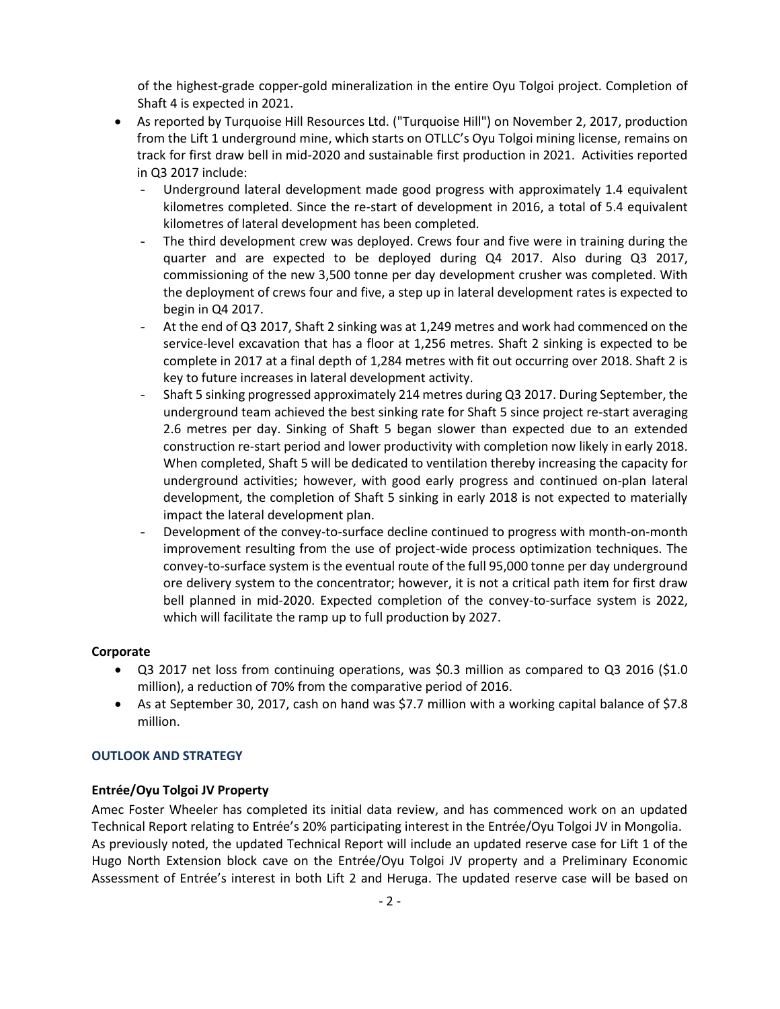of the highest-grade copper-gold mineralization in the entire Oyu Tolgoi project. Completion of Shaft 4 is expected in 2021.

- As reported by Turquoise Hill Resources Ltd. ("Turquoise Hill") on November 2, 2017, production from the Lift 1 underground mine, which starts on OTLLC's Oyu Tolgoi mining license, remains on track for first draw bell in mid-2020 and sustainable first production in 2021. Activities reported in Q3 2017 include:
	- Underground lateral development made good progress with approximately 1.4 equivalent kilometres completed. Since the re-start of development in 2016, a total of 5.4 equivalent kilometres of lateral development has been completed.
	- The third development crew was deployed. Crews four and five were in training during the quarter and are expected to be deployed during Q4 2017. Also during Q3 2017, commissioning of the new 3,500 tonne per day development crusher was completed. With the deployment of crews four and five, a step up in lateral development rates is expected to begin in Q4 2017.
	- At the end of Q3 2017, Shaft 2 sinking was at 1,249 metres and work had commenced on the service-level excavation that has a floor at 1,256 metres. Shaft 2 sinking is expected to be complete in 2017 at a final depth of 1,284 metres with fit out occurring over 2018. Shaft 2 is key to future increases in lateral development activity.
	- Shaft 5 sinking progressed approximately 214 metres during Q3 2017. During September, the underground team achieved the best sinking rate for Shaft 5 since project re-start averaging 2.6 metres per day. Sinking of Shaft 5 began slower than expected due to an extended construction re-start period and lower productivity with completion now likely in early 2018. When completed, Shaft 5 will be dedicated to ventilation thereby increasing the capacity for underground activities; however, with good early progress and continued on-plan lateral development, the completion of Shaft 5 sinking in early 2018 is not expected to materially impact the lateral development plan.
	- Development of the convey-to-surface decline continued to progress with month-on-month improvement resulting from the use of project-wide process optimization techniques. The convey-to-surface system is the eventual route of the full 95,000 tonne per day underground ore delivery system to the concentrator; however, it is not a critical path item for first draw bell planned in mid-2020. Expected completion of the convey-to-surface system is 2022, which will facilitate the ramp up to full production by 2027.

### **Corporate**

- Q3 2017 net loss from continuing operations, was \$0.3 million as compared to Q3 2016 (\$1.0 million), a reduction of 70% from the comparative period of 2016.
- As at September 30, 2017, cash on hand was \$7.7 million with a working capital balance of \$7.8 million.

#### **OUTLOOK AND STRATEGY**

### **Entrée/Oyu Tolgoi JV Property**

Amec Foster Wheeler has completed its initial data review, and has commenced work on an updated Technical Report relating to Entrée's 20% participating interest in the Entrée/Oyu Tolgoi JV in Mongolia. As previously noted, the updated Technical Report will include an updated reserve case for Lift 1 of the Hugo North Extension block cave on the Entrée/Oyu Tolgoi JV property and a Preliminary Economic Assessment of Entrée's interest in both Lift 2 and Heruga. The updated reserve case will be based on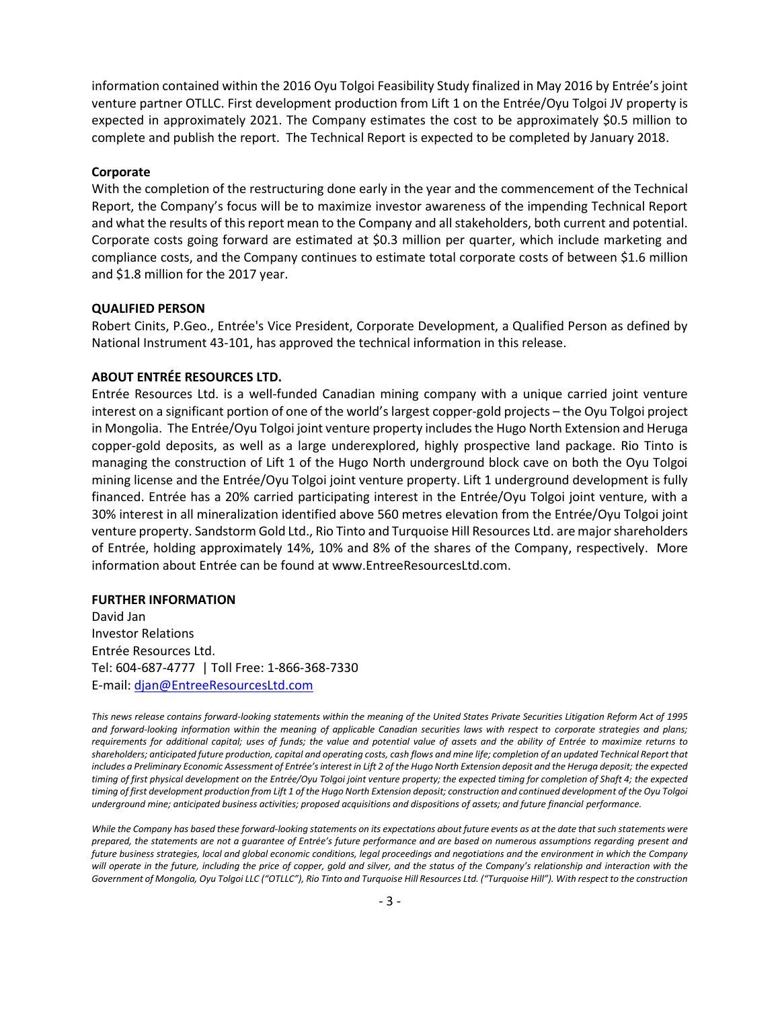information contained within the 2016 Oyu Tolgoi Feasibility Study finalized in May 2016 by Entrée's joint venture partner OTLLC. First development production from Lift 1 on the Entrée/Oyu Tolgoi JV property is expected in approximately 2021. The Company estimates the cost to be approximately \$0.5 million to complete and publish the report. The Technical Report is expected to be completed by January 2018.

#### **Corporate**

With the completion of the restructuring done early in the year and the commencement of the Technical Report, the Company's focus will be to maximize investor awareness of the impending Technical Report and what the results of this report mean to the Company and all stakeholders, both current and potential. Corporate costs going forward are estimated at \$0.3 million per quarter, which include marketing and compliance costs, and the Company continues to estimate total corporate costs of between \$1.6 million and \$1.8 million for the 2017 year.

#### **QUALIFIED PERSON**

Robert Cinits, P.Geo., Entrée's Vice President, Corporate Development, a Qualified Person as defined by National Instrument 43-101, has approved the technical information in this release.

## **ABOUT ENTRÉE RESOURCES LTD.**

Entrée Resources Ltd. is a well-funded Canadian mining company with a unique carried joint venture interest on a significant portion of one of the world's largest copper-gold projects – the Oyu Tolgoi project in Mongolia. The Entrée/Oyu Tolgoi joint venture property includes the Hugo North Extension and Heruga copper-gold deposits, as well as a large underexplored, highly prospective land package. Rio Tinto is managing the construction of Lift 1 of the Hugo North underground block cave on both the Oyu Tolgoi mining license and the Entrée/Oyu Tolgoi joint venture property. Lift 1 underground development is fully financed. Entrée has a 20% carried participating interest in the Entrée/Oyu Tolgoi joint venture, with a 30% interest in all mineralization identified above 560 metres elevation from the Entrée/Oyu Tolgoi joint venture property. Sandstorm Gold Ltd., Rio Tinto and Turquoise Hill Resources Ltd. are major shareholders of Entrée, holding approximately 14%, 10% and 8% of the shares of the Company, respectively. More information about Entrée can be found at www.EntreeResourcesLtd.com.

#### **FURTHER INFORMATION**

David Jan Investor Relations Entrée Resources Ltd. Tel: 604-687-4777 | Toll Free: 1-866-368-7330 E-mail: [djan@EntreeResourcesLtd.com](mailto:djan@EntreeResourcesLtd.com)

*This news release contains forward-looking statements within the meaning of the United States Private Securities Litigation Reform Act of 1995 and forward-looking information within the meaning of applicable Canadian securities laws with respect to corporate strategies and plans; requirements for additional capital; uses of funds; the value and potential value of assets and the ability of Entrée to maximize returns to shareholders; anticipated future production, capital and operating costs, cash flows and mine life; completion of an updated Technical Report that includes a Preliminary Economic Assessment of Entrée's interest in Lift 2 of the Hugo North Extension deposit and the Heruga deposit; the expected*  timing of first physical development on the Entrée/Oyu Tolgoi joint venture property; the expected timing for completion of Shaft 4; the expected *timing of first development production from Lift 1 of the Hugo North Extension deposit; construction and continued development of the Oyu Tolgoi underground mine; anticipated business activities; proposed acquisitions and dispositions of assets; and future financial performance.*

*While the Company has based these forward-looking statements on its expectations about future events as at the date that such statements were prepared, the statements are not a guarantee of Entrée's future performance and are based on numerous assumptions regarding present and future business strategies, local and global economic conditions, legal proceedings and negotiations and the environment in which the Company*  will operate in the future, including the price of copper, gold and silver, and the status of the Company's relationship and interaction with the *Government of Mongolia, Oyu Tolgoi LLC ("OTLLC"), Rio Tinto and Turquoise Hill Resources Ltd. ("Turquoise Hill"). With respect to the construction*